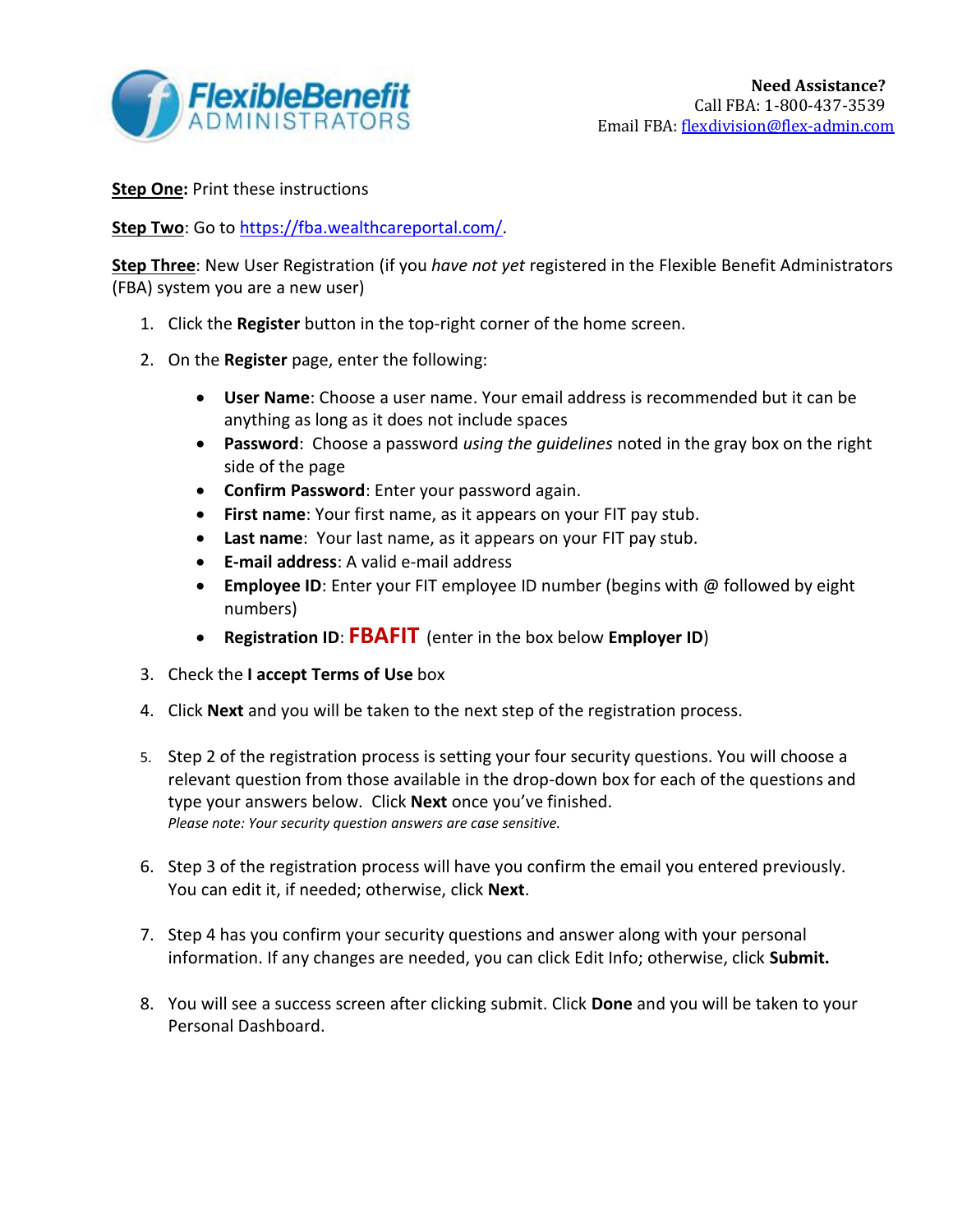

**Step One: Print these instructions** 

Step Two: Go to [https://fba.wealthcareportal.com/.](https://fba.wealthcareportal.com/)

**Step Three**: New User Registration (if you *have not yet* registered in the Flexible Benefit Administrators (FBA) system you are a new user)

- 1. Click the **Register** button in the top-right corner of the home screen.
- 2. On the **Register** page, enter the following:
	- **User Name**: Choose a user name. Your email address is recommended but it can be anything as long as it does not include spaces
	- **Password**: Choose a password *using the guidelines* noted in the gray box on the right side of the page
	- **Confirm Password**: Enter your password again.
	- **First name**: Your first name, as it appears on your FIT pay stub.
	- **Last name**: Your last name, as it appears on your FIT pay stub.
	- **E-mail address**: A valid e-mail address
	- **Employee ID**: Enter your FIT employee ID number (begins with @ followed by eight numbers)
	- **Registration ID**: **FBAFIT** (enter in the box below **Employer ID**)
- 3. Check the **I accept Terms of Use** box
- 4. Click **Next** and you will be taken to the next step of the registration process.
- 5. Step 2 of the registration process is setting your four security questions. You will choose a relevant question from those available in the drop-down box for each of the questions and type your answers below. Click **Next** once you've finished. *Please note: Your security question answers are case sensitive.*
- 6. Step 3 of the registration process will have you confirm the email you entered previously. You can edit it, if needed; otherwise, click **Next**.
- 7. Step 4 has you confirm your security questions and answer along with your personal information. If any changes are needed, you can click Edit Info; otherwise, click **Submit.**
- 8. You will see a success screen after clicking submit. Click **Done** and you will be taken to your Personal Dashboard.